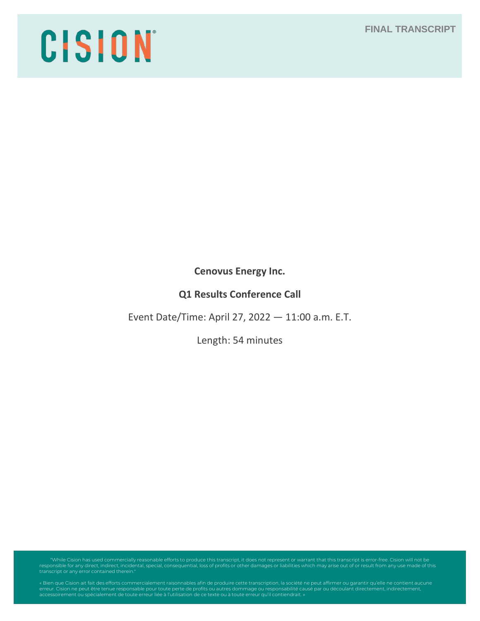# CISION

**Cenovus Energy Inc.**

# **Q1 Results Conference Call**

Event Date/Time: April 27, 2022 — 11:00 a.m. E.T.

Length: 54 minutes

"While Cision has used commercially reasonable efforts to produce this transcript, it does not represent or warrant that this transcript is error-free. Cision will not be<br>responsible for any direct, indirect, incidental, s

erreur. Cision ne peut être tenue responsable pour toute perte de profits ou autres dommage ou responsabilité causé par ou découlant directement, indirectement,<br>accessoirement ou spécialement de toute erreur liée à l'utili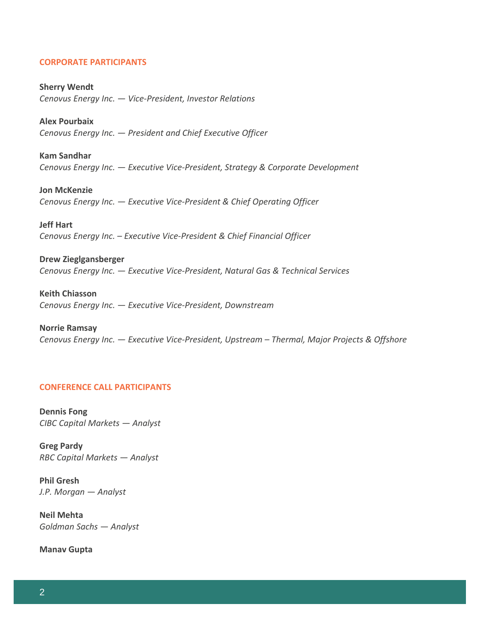#### **CORPORATE PARTICIPANTS**

**Sherry Wendt** *Cenovus Energy Inc. — Vice-President, Investor Relations*

**Alex Pourbaix** *Cenovus Energy Inc. — President and Chief Executive Officer*

**Kam Sandhar** *Cenovus Energy Inc. — Executive Vice-President, Strategy & Corporate Development*

**Jon McKenzie** *Cenovus Energy Inc. — Executive Vice-President & Chief Operating Officer*

**Jeff Hart** *Cenovus Energy Inc. – Executive Vice-President & Chief Financial Officer*

**Drew Zieglgansberger** *Cenovus Energy Inc. — Executive Vice-President, Natural Gas & Technical Services*

**Keith Chiasson** *Cenovus Energy Inc. — Executive Vice-President, Downstream*

**Norrie Ramsay** *Cenovus Energy Inc. — Executive Vice-President, Upstream – Thermal, Major Projects & Offshore*

#### **CONFERENCE CALL PARTICIPANTS**

**Dennis Fong** *CIBC Capital Markets — Analyst*

**Greg Pardy** *RBC Capital Markets — Analyst*

**Phil Gresh** *J.P. Morgan — Analyst*

**Neil Mehta** *Goldman Sachs — Analyst*

**Manav Gupta**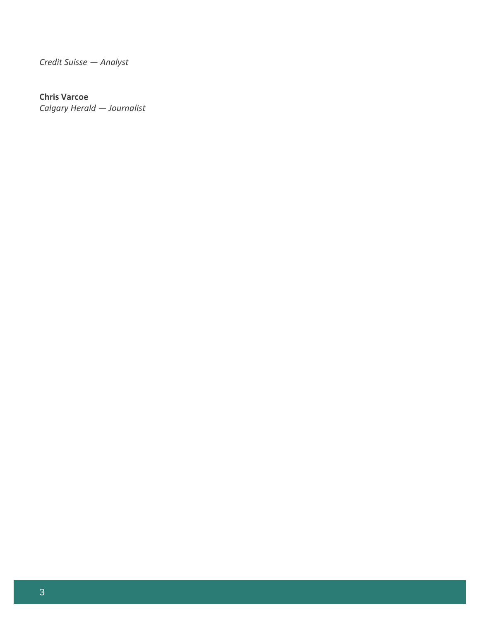*Credit Suisse — Analyst*

# **Chris Varcoe**

*Calgary Herald — Journalist*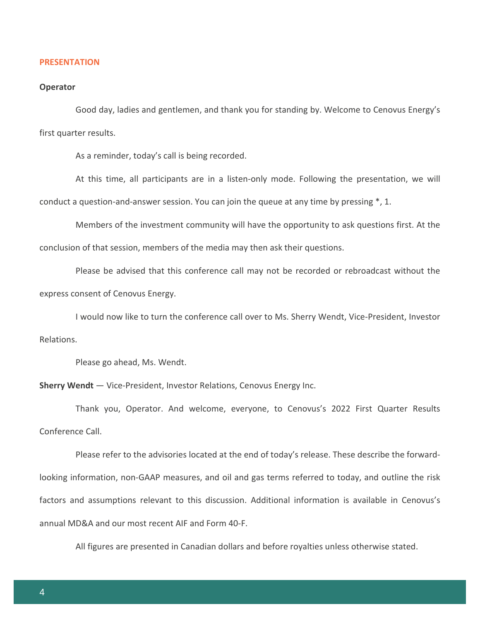#### **PRESENTATION**

#### **Operator**

Good day, ladies and gentlemen, and thank you for standing by. Welcome to Cenovus Energy's first quarter results.

As a reminder, today's call is being recorded.

At this time, all participants are in a listen-only mode. Following the presentation, we will conduct a question-and-answer session. You can join the queue at any time by pressing \*, 1.

Members of the investment community will have the opportunity to ask questions first. At the conclusion of that session, members of the media may then ask their questions.

Please be advised that this conference call may not be recorded or rebroadcast without the express consent of Cenovus Energy.

I would now like to turn the conference call over to Ms. Sherry Wendt, Vice-President, Investor Relations.

Please go ahead, Ms. Wendt.

**Sherry Wendt** — Vice-President, Investor Relations, Cenovus Energy Inc.

Thank you, Operator. And welcome, everyone, to Cenovus's 2022 First Quarter Results Conference Call.

Please refer to the advisories located at the end of today's release. These describe the forwardlooking information, non-GAAP measures, and oil and gas terms referred to today, and outline the risk factors and assumptions relevant to this discussion. Additional information is available in Cenovus's annual MD&A and our most recent AIF and Form 40-F.

All figures are presented in Canadian dollars and before royalties unless otherwise stated.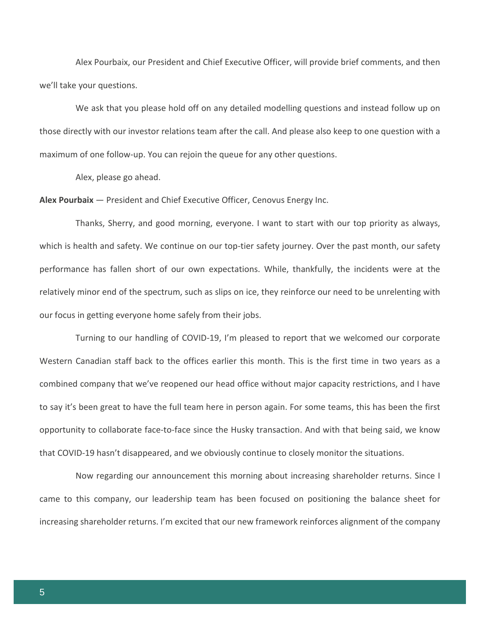Alex Pourbaix, our President and Chief Executive Officer, will provide brief comments, and then we'll take your questions.

We ask that you please hold off on any detailed modelling questions and instead follow up on those directly with our investor relations team after the call. And please also keep to one question with a maximum of one follow-up. You can rejoin the queue for any other questions.

Alex, please go ahead.

#### **Alex Pourbaix** — President and Chief Executive Officer, Cenovus Energy Inc.

Thanks, Sherry, and good morning, everyone. I want to start with our top priority as always, which is health and safety. We continue on our top-tier safety journey. Over the past month, our safety performance has fallen short of our own expectations. While, thankfully, the incidents were at the relatively minor end of the spectrum, such as slips on ice, they reinforce our need to be unrelenting with our focus in getting everyone home safely from their jobs.

Turning to our handling of COVID-19, I'm pleased to report that we welcomed our corporate Western Canadian staff back to the offices earlier this month. This is the first time in two years as a combined company that we've reopened our head office without major capacity restrictions, and I have to say it's been great to have the full team here in person again. For some teams, this has been the first opportunity to collaborate face-to-face since the Husky transaction. And with that being said, we know that COVID-19 hasn't disappeared, and we obviously continue to closely monitor the situations.

Now regarding our announcement this morning about increasing shareholder returns. Since I came to this company, our leadership team has been focused on positioning the balance sheet for increasing shareholder returns. I'm excited that our new framework reinforces alignment of the company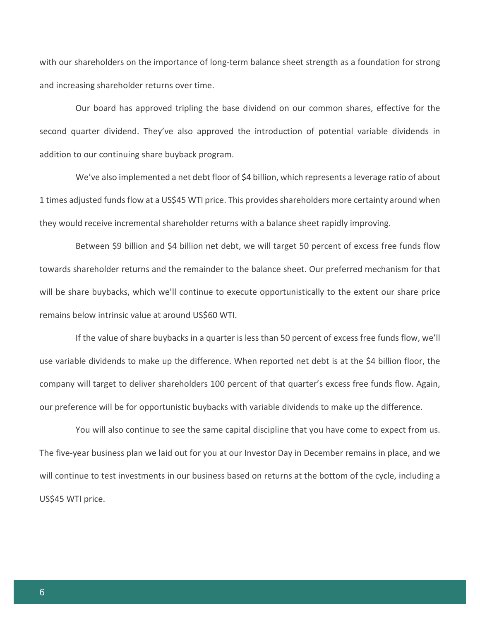with our shareholders on the importance of long-term balance sheet strength as a foundation for strong and increasing shareholder returns over time.

Our board has approved tripling the base dividend on our common shares, effective for the second quarter dividend. They've also approved the introduction of potential variable dividends in addition to our continuing share buyback program.

We've also implemented a net debt floor of \$4 billion, which represents a leverage ratio of about 1 times adjusted funds flow at a US\$45 WTI price. This provides shareholders more certainty around when they would receive incremental shareholder returns with a balance sheet rapidly improving.

Between \$9 billion and \$4 billion net debt, we will target 50 percent of excess free funds flow towards shareholder returns and the remainder to the balance sheet. Our preferred mechanism for that will be share buybacks, which we'll continue to execute opportunistically to the extent our share price remains below intrinsic value at around US\$60 WTI.

If the value of share buybacks in a quarter is less than 50 percent of excess free funds flow, we'll use variable dividends to make up the difference. When reported net debt is at the \$4 billion floor, the company will target to deliver shareholders 100 percent of that quarter's excess free funds flow. Again, our preference will be for opportunistic buybacks with variable dividends to make up the difference.

You will also continue to see the same capital discipline that you have come to expect from us. The five-year business plan we laid out for you at our Investor Day in December remains in place, and we will continue to test investments in our business based on returns at the bottom of the cycle, including a US\$45 WTI price.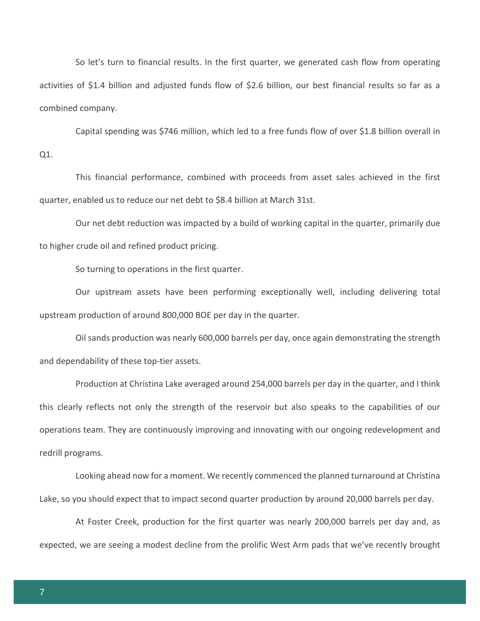So let's turn to financial results. In the first quarter, we generated cash flow from operating activities of \$1.4 billion and adjusted funds flow of \$2.6 billion, our best financial results so far as a combined company.

Capital spending was \$746 million, which led to a free funds flow of over \$1.8 billion overall in

Q1.

This financial performance, combined with proceeds from asset sales achieved in the first quarter, enabled us to reduce our net debt to \$8.4 billion at March 31st.

Our net debt reduction was impacted by a build of working capital in the quarter, primarily due to higher crude oil and refined product pricing.

So turning to operations in the first quarter.

Our upstream assets have been performing exceptionally well, including delivering total upstream production of around 800,000 BOE per day in the quarter.

Oil sands production was nearly 600,000 barrels per day, once again demonstrating the strength and dependability of these top-tier assets.

Production at Christina Lake averaged around 254,000 barrels per day in the quarter, and I think this clearly reflects not only the strength of the reservoir but also speaks to the capabilities of our operations team. They are continuously improving and innovating with our ongoing redevelopment and redrill programs.

Looking ahead now for a moment. We recently commenced the planned turnaround at Christina Lake, so you should expect that to impact second quarter production by around 20,000 barrels per day.

At Foster Creek, production for the first quarter was nearly 200,000 barrels per day and, as expected, we are seeing a modest decline from the prolific West Arm pads that we've recently brought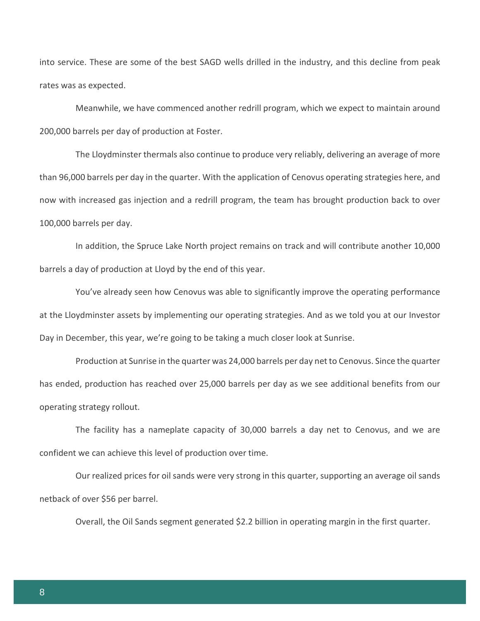into service. These are some of the best SAGD wells drilled in the industry, and this decline from peak rates was as expected.

Meanwhile, we have commenced another redrill program, which we expect to maintain around 200,000 barrels per day of production at Foster.

The Lloydminster thermals also continue to produce very reliably, delivering an average of more than 96,000 barrels per day in the quarter. With the application of Cenovus operating strategies here, and now with increased gas injection and a redrill program, the team has brought production back to over 100,000 barrels per day.

In addition, the Spruce Lake North project remains on track and will contribute another 10,000 barrels a day of production at Lloyd by the end of this year.

You've already seen how Cenovus was able to significantly improve the operating performance at the Lloydminster assets by implementing our operating strategies. And as we told you at our Investor Day in December, this year, we're going to be taking a much closer look at Sunrise.

Production at Sunrise in the quarter was 24,000 barrels per day net to Cenovus. Since the quarter has ended, production has reached over 25,000 barrels per day as we see additional benefits from our operating strategy rollout.

The facility has a nameplate capacity of 30,000 barrels a day net to Cenovus, and we are confident we can achieve this level of production over time.

Our realized prices for oil sands were very strong in this quarter, supporting an average oil sands netback of over \$56 per barrel.

Overall, the Oil Sands segment generated \$2.2 billion in operating margin in the first quarter.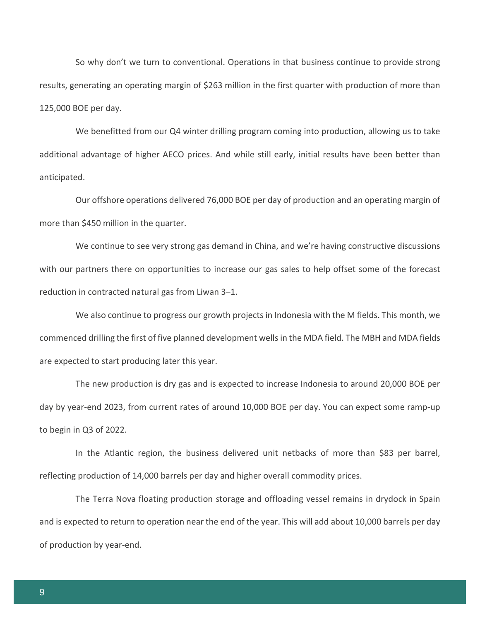So why don't we turn to conventional. Operations in that business continue to provide strong results, generating an operating margin of \$263 million in the first quarter with production of more than 125,000 BOE per day.

We benefitted from our Q4 winter drilling program coming into production, allowing us to take additional advantage of higher AECO prices. And while still early, initial results have been better than anticipated.

Our offshore operations delivered 76,000 BOE per day of production and an operating margin of more than \$450 million in the quarter.

We continue to see very strong gas demand in China, and we're having constructive discussions with our partners there on opportunities to increase our gas sales to help offset some of the forecast reduction in contracted natural gas from Liwan 3–1.

We also continue to progress our growth projects in Indonesia with the M fields. This month, we commenced drilling the first of five planned development wells in the MDA field. The MBH and MDA fields are expected to start producing later this year.

The new production is dry gas and is expected to increase Indonesia to around 20,000 BOE per day by year-end 2023, from current rates of around 10,000 BOE per day. You can expect some ramp-up to begin in Q3 of 2022.

In the Atlantic region, the business delivered unit netbacks of more than \$83 per barrel, reflecting production of 14,000 barrels per day and higher overall commodity prices.

The Terra Nova floating production storage and offloading vessel remains in drydock in Spain and is expected to return to operation near the end of the year. This will add about 10,000 barrels per day of production by year-end.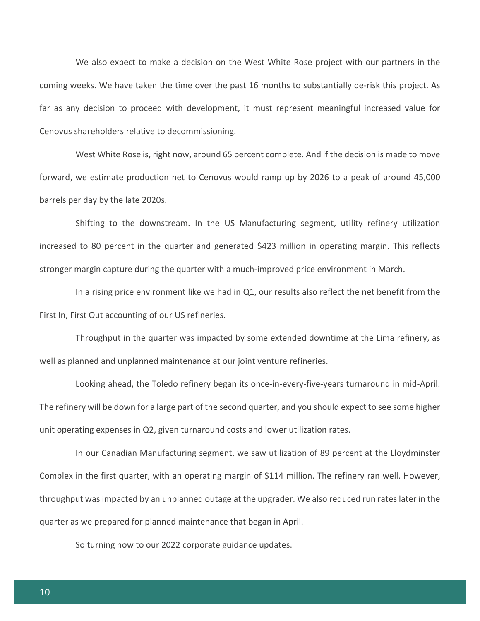We also expect to make a decision on the West White Rose project with our partners in the coming weeks. We have taken the time over the past 16 months to substantially de-risk this project. As far as any decision to proceed with development, it must represent meaningful increased value for Cenovus shareholders relative to decommissioning.

West White Rose is, right now, around 65 percent complete. And if the decision is made to move forward, we estimate production net to Cenovus would ramp up by 2026 to a peak of around 45,000 barrels per day by the late 2020s.

Shifting to the downstream. In the US Manufacturing segment, utility refinery utilization increased to 80 percent in the quarter and generated \$423 million in operating margin. This reflects stronger margin capture during the quarter with a much-improved price environment in March.

In a rising price environment like we had in Q1, our results also reflect the net benefit from the First In, First Out accounting of our US refineries.

Throughput in the quarter was impacted by some extended downtime at the Lima refinery, as well as planned and unplanned maintenance at our joint venture refineries.

Looking ahead, the Toledo refinery began its once-in-every-five-years turnaround in mid-April. The refinery will be down for a large part of the second quarter, and you should expect to see some higher unit operating expenses in Q2, given turnaround costs and lower utilization rates.

In our Canadian Manufacturing segment, we saw utilization of 89 percent at the Lloydminster Complex in the first quarter, with an operating margin of \$114 million. The refinery ran well. However, throughput was impacted by an unplanned outage at the upgrader. We also reduced run rates later in the quarter as we prepared for planned maintenance that began in April.

So turning now to our 2022 corporate guidance updates.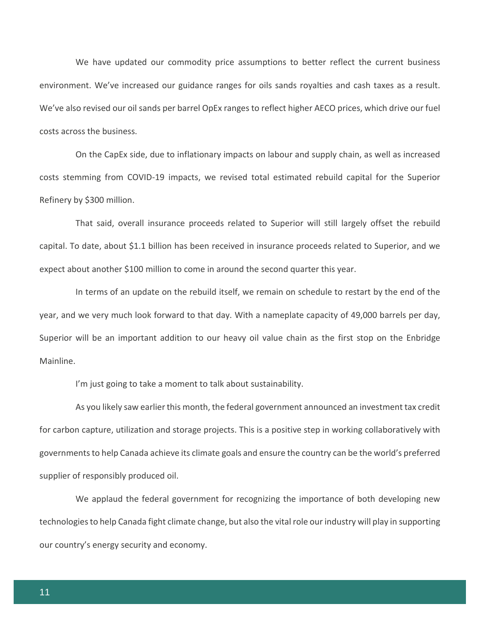We have updated our commodity price assumptions to better reflect the current business environment. We've increased our guidance ranges for oils sands royalties and cash taxes as a result. We've also revised our oil sands per barrel OpEx ranges to reflect higher AECO prices, which drive our fuel costs across the business.

On the CapEx side, due to inflationary impacts on labour and supply chain, as well as increased costs stemming from COVID-19 impacts, we revised total estimated rebuild capital for the Superior Refinery by \$300 million.

That said, overall insurance proceeds related to Superior will still largely offset the rebuild capital. To date, about \$1.1 billion has been received in insurance proceeds related to Superior, and we expect about another \$100 million to come in around the second quarter this year.

In terms of an update on the rebuild itself, we remain on schedule to restart by the end of the year, and we very much look forward to that day. With a nameplate capacity of 49,000 barrels per day, Superior will be an important addition to our heavy oil value chain as the first stop on the Enbridge Mainline.

I'm just going to take a moment to talk about sustainability.

As you likely saw earlier this month, the federal government announced an investment tax credit for carbon capture, utilization and storage projects. This is a positive step in working collaboratively with governments to help Canada achieve its climate goals and ensure the country can be the world's preferred supplier of responsibly produced oil.

We applaud the federal government for recognizing the importance of both developing new technologies to help Canada fight climate change, but also the vital role our industry will play in supporting our country's energy security and economy.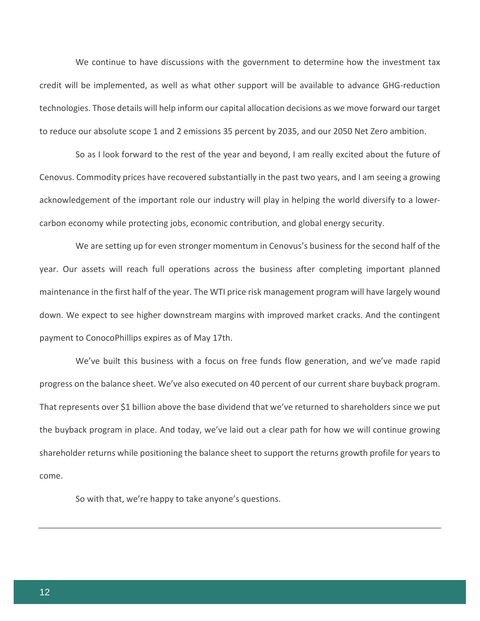We continue to have discussions with the government to determine how the investment tax credit will be implemented, as well as what other support will be available to advance GHG-reduction technologies. Those details will help inform our capital allocation decisions as we move forward our target to reduce our absolute scope 1 and 2 emissions 35 percent by 2035, and our 2050 Net Zero ambition.

So as I look forward to the rest of the year and beyond, I am really excited about the future of Cenovus. Commodity prices have recovered substantially in the past two years, and I am seeing a growing acknowledgement of the important role our industry will play in helping the world diversify to a lowercarbon economy while protecting jobs, economic contribution, and global energy security.

We are setting up for even stronger momentum in Cenovus's business for the second half of the year. Our assets will reach full operations across the business after completing important planned maintenance in the first half of the year. The WTI price risk management program will have largely wound down. We expect to see higher downstream margins with improved market cracks. And the contingent payment to ConocoPhillips expires as of May 17th.

We've built this business with a focus on free funds flow generation, and we've made rapid progress on the balance sheet. We've also executed on 40 percent of our current share buyback program. That represents over \$1 billion above the base dividend that we've returned to shareholders since we put the buyback program in place. And today, we've laid out a clear path for how we will continue growing shareholder returns while positioning the balance sheet to support the returns growth profile for years to come.

So with that, we're happy to take anyone's questions.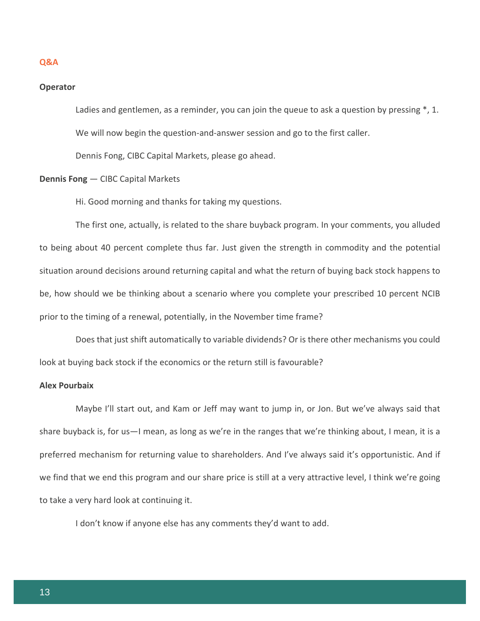#### **Q&A**

#### **Operator**

Ladies and gentlemen, as a reminder, you can join the queue to ask a question by pressing  $\ast$ , 1. We will now begin the question-and-answer session and go to the first caller.

Dennis Fong, CIBC Capital Markets, please go ahead.

# **Dennis Fong** — CIBC Capital Markets

Hi. Good morning and thanks for taking my questions.

The first one, actually, is related to the share buyback program. In your comments, you alluded to being about 40 percent complete thus far. Just given the strength in commodity and the potential situation around decisions around returning capital and what the return of buying back stock happens to be, how should we be thinking about a scenario where you complete your prescribed 10 percent NCIB prior to the timing of a renewal, potentially, in the November time frame?

Does that just shift automatically to variable dividends? Or is there other mechanisms you could look at buying back stock if the economics or the return still is favourable?

#### **Alex Pourbaix**

Maybe I'll start out, and Kam or Jeff may want to jump in, or Jon. But we've always said that share buyback is, for us—I mean, as long as we're in the ranges that we're thinking about, I mean, it is a preferred mechanism for returning value to shareholders. And I've always said it's opportunistic. And if we find that we end this program and our share price is still at a very attractive level, I think we're going to take a very hard look at continuing it.

I don't know if anyone else has any comments they'd want to add.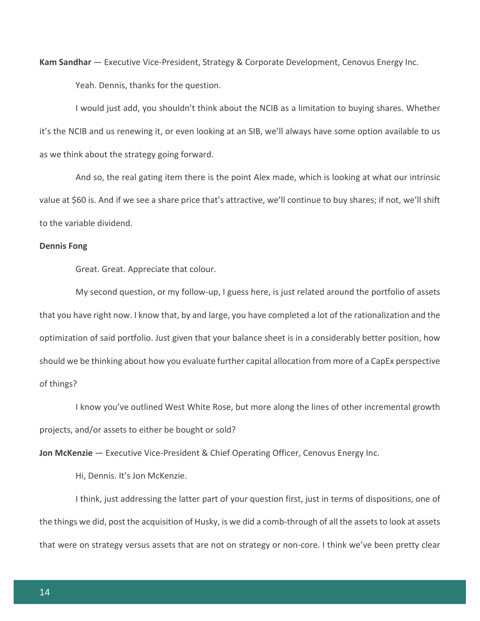**Kam Sandhar** — Executive Vice-President, Strategy & Corporate Development, Cenovus Energy Inc. Yeah. Dennis, thanks for the question.

I would just add, you shouldn't think about the NCIB as a limitation to buying shares. Whether it's the NCIB and us renewing it, or even looking at an SIB, we'll always have some option available to us as we think about the strategy going forward.

And so, the real gating item there is the point Alex made, which is looking at what our intrinsic value at \$60 is. And if we see a share price that's attractive, we'll continue to buy shares; if not, we'll shift to the variable dividend.

#### **Dennis Fong**

Great. Great. Appreciate that colour.

My second question, or my follow-up, I guess here, is just related around the portfolio of assets that you have right now. I know that, by and large, you have completed a lot of the rationalization and the optimization of said portfolio. Just given that your balance sheet is in a considerably better position, how should we be thinking about how you evaluate further capital allocation from more of a CapEx perspective of things?

I know you've outlined West White Rose, but more along the lines of other incremental growth projects, and/or assets to either be bought or sold?

**Jon McKenzie** — Executive Vice-President & Chief Operating Officer, Cenovus Energy Inc.

Hi, Dennis. It's Jon McKenzie.

I think, just addressing the latter part of your question first, just in terms of dispositions, one of the things we did, post the acquisition of Husky, is we did a comb-through of all the assets to look at assets that were on strategy versus assets that are not on strategy or non-core. I think we've been pretty clear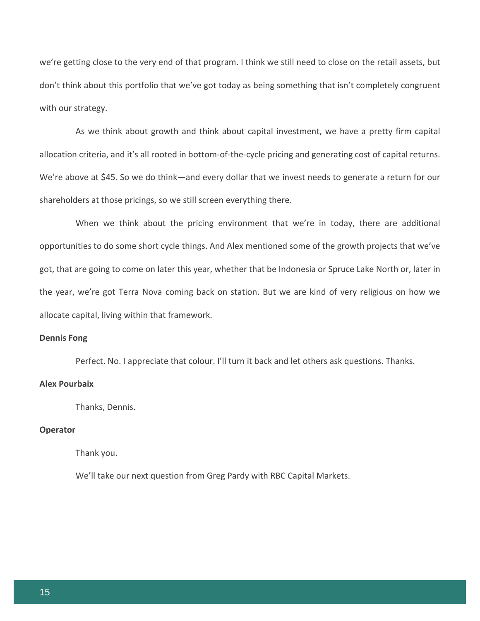we're getting close to the very end of that program. I think we still need to close on the retail assets, but don't think about this portfolio that we've got today as being something that isn't completely congruent with our strategy.

As we think about growth and think about capital investment, we have a pretty firm capital allocation criteria, and it's all rooted in bottom-of-the-cycle pricing and generating cost of capital returns. We're above at \$45. So we do think—and every dollar that we invest needs to generate a return for our shareholders at those pricings, so we still screen everything there.

When we think about the pricing environment that we're in today, there are additional opportunities to do some short cycle things. And Alex mentioned some of the growth projects that we've got, that are going to come on later this year, whether that be Indonesia or Spruce Lake North or, later in the year, we're got Terra Nova coming back on station. But we are kind of very religious on how we allocate capital, living within that framework.

#### **Dennis Fong**

Perfect. No. I appreciate that colour. I'll turn it back and let others ask questions. Thanks.

# **Alex Pourbaix**

Thanks, Dennis.

#### **Operator**

Thank you.

We'll take our next question from Greg Pardy with RBC Capital Markets.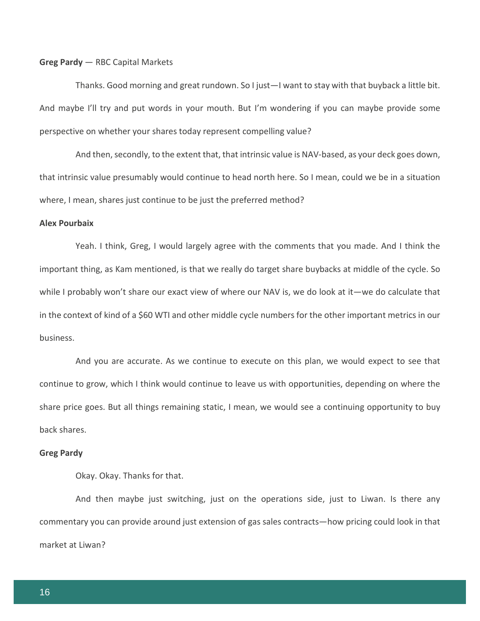#### **Greg Pardy** — RBC Capital Markets

Thanks. Good morning and great rundown. So I just—I want to stay with that buyback a little bit. And maybe I'll try and put words in your mouth. But I'm wondering if you can maybe provide some perspective on whether your shares today represent compelling value?

And then, secondly, to the extent that, that intrinsic value is NAV-based, as your deck goes down, that intrinsic value presumably would continue to head north here. So I mean, could we be in a situation where, I mean, shares just continue to be just the preferred method?

#### **Alex Pourbaix**

Yeah. I think, Greg, I would largely agree with the comments that you made. And I think the important thing, as Kam mentioned, is that we really do target share buybacks at middle of the cycle. So while I probably won't share our exact view of where our NAV is, we do look at it—we do calculate that in the context of kind of a \$60 WTI and other middle cycle numbers for the other important metrics in our business.

And you are accurate. As we continue to execute on this plan, we would expect to see that continue to grow, which I think would continue to leave us with opportunities, depending on where the share price goes. But all things remaining static, I mean, we would see a continuing opportunity to buy back shares.

#### **Greg Pardy**

Okay. Okay. Thanks for that.

And then maybe just switching, just on the operations side, just to Liwan. Is there any commentary you can provide around just extension of gas sales contracts—how pricing could look in that market at Liwan?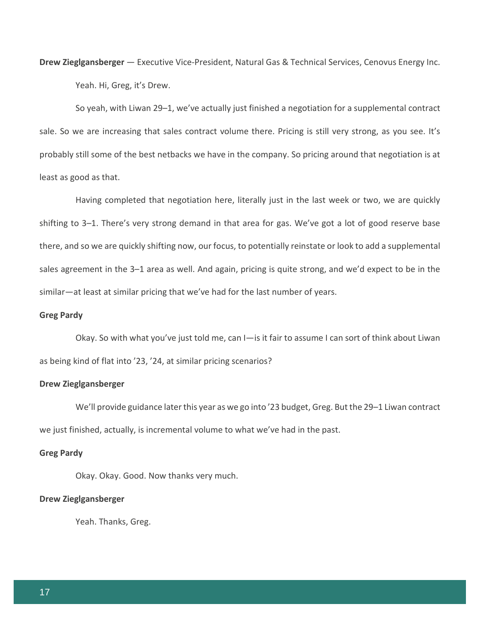**Drew Zieglgansberger** — Executive Vice-President, Natural Gas & Technical Services, Cenovus Energy Inc. Yeah. Hi, Greg, it's Drew.

So yeah, with Liwan 29–1, we've actually just finished a negotiation for a supplemental contract sale. So we are increasing that sales contract volume there. Pricing is still very strong, as you see. It's probably still some of the best netbacks we have in the company. So pricing around that negotiation is at least as good as that.

Having completed that negotiation here, literally just in the last week or two, we are quickly shifting to 3–1. There's very strong demand in that area for gas. We've got a lot of good reserve base there, and so we are quickly shifting now, our focus, to potentially reinstate or look to add a supplemental sales agreement in the 3–1 area as well. And again, pricing is quite strong, and we'd expect to be in the similar—at least at similar pricing that we've had for the last number of years.

#### **Greg Pardy**

Okay. So with what you've just told me, can I—is it fair to assume I can sort of think about Liwan as being kind of flat into '23, '24, at similar pricing scenarios?

#### **Drew Zieglgansberger**

We'll provide guidance later this year as we go into '23 budget, Greg. But the 29–1 Liwan contract we just finished, actually, is incremental volume to what we've had in the past.

#### **Greg Pardy**

Okay. Okay. Good. Now thanks very much.

#### **Drew Zieglgansberger**

Yeah. Thanks, Greg.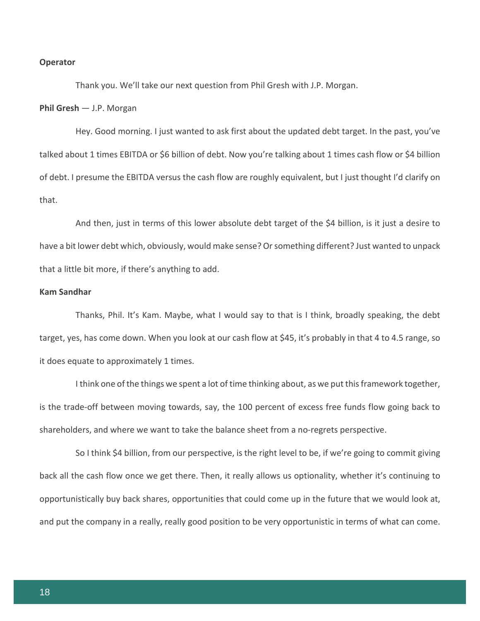#### **Operator**

Thank you. We'll take our next question from Phil Gresh with J.P. Morgan.

#### **Phil Gresh** — J.P. Morgan

Hey. Good morning. I just wanted to ask first about the updated debt target. In the past, you've talked about 1 times EBITDA or \$6 billion of debt. Now you're talking about 1 times cash flow or \$4 billion of debt. I presume the EBITDA versus the cash flow are roughly equivalent, but I just thought I'd clarify on that.

And then, just in terms of this lower absolute debt target of the \$4 billion, is it just a desire to have a bit lower debt which, obviously, would make sense? Or something different? Just wanted to unpack that a little bit more, if there's anything to add.

#### **Kam Sandhar**

Thanks, Phil. It's Kam. Maybe, what I would say to that is I think, broadly speaking, the debt target, yes, has come down. When you look at our cash flow at \$45, it's probably in that 4 to 4.5 range, so it does equate to approximately 1 times.

I think one of the things we spent a lot of time thinking about, as we put this framework together, is the trade-off between moving towards, say, the 100 percent of excess free funds flow going back to shareholders, and where we want to take the balance sheet from a no-regrets perspective.

So I think \$4 billion, from our perspective, is the right level to be, if we're going to commit giving back all the cash flow once we get there. Then, it really allows us optionality, whether it's continuing to opportunistically buy back shares, opportunities that could come up in the future that we would look at, and put the company in a really, really good position to be very opportunistic in terms of what can come.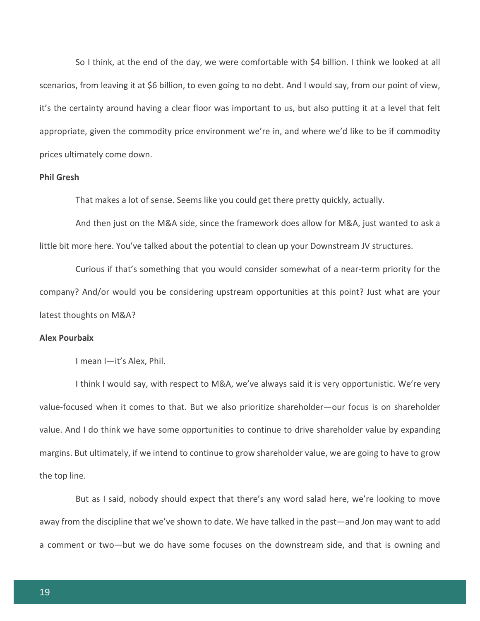So I think, at the end of the day, we were comfortable with \$4 billion. I think we looked at all scenarios, from leaving it at \$6 billion, to even going to no debt. And I would say, from our point of view, it's the certainty around having a clear floor was important to us, but also putting it at a level that felt appropriate, given the commodity price environment we're in, and where we'd like to be if commodity prices ultimately come down.

#### **Phil Gresh**

That makes a lot of sense. Seems like you could get there pretty quickly, actually.

And then just on the M&A side, since the framework does allow for M&A, just wanted to ask a little bit more here. You've talked about the potential to clean up your Downstream JV structures.

Curious if that's something that you would consider somewhat of a near-term priority for the company? And/or would you be considering upstream opportunities at this point? Just what are your latest thoughts on M&A?

#### **Alex Pourbaix**

I mean I—it's Alex, Phil.

I think I would say, with respect to M&A, we've always said it is very opportunistic. We're very value-focused when it comes to that. But we also prioritize shareholder—our focus is on shareholder value. And I do think we have some opportunities to continue to drive shareholder value by expanding margins. But ultimately, if we intend to continue to grow shareholder value, we are going to have to grow the top line.

But as I said, nobody should expect that there's any word salad here, we're looking to move away from the discipline that we've shown to date. We have talked in the past—and Jon may want to add a comment or two—but we do have some focuses on the downstream side, and that is owning and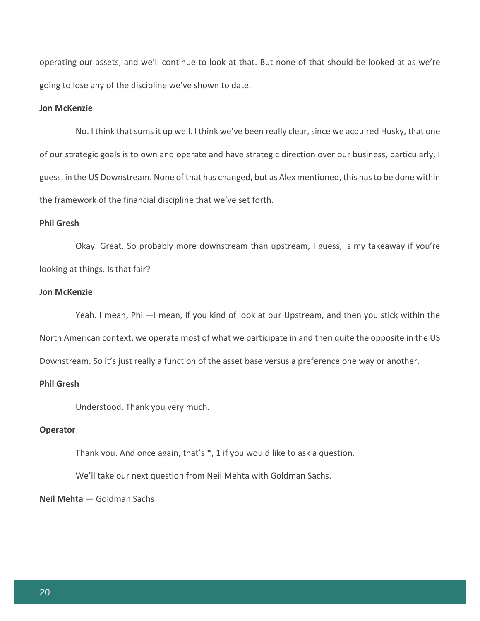operating our assets, and we'll continue to look at that. But none of that should be looked at as we're going to lose any of the discipline we've shown to date.

# **Jon McKenzie**

No. I think that sums it up well. I think we've been really clear, since we acquired Husky, that one of our strategic goals is to own and operate and have strategic direction over our business, particularly, I guess, in the US Downstream. None of that has changed, but as Alex mentioned, this has to be done within the framework of the financial discipline that we've set forth.

# **Phil Gresh**

Okay. Great. So probably more downstream than upstream, I guess, is my takeaway if you're looking at things. Is that fair?

#### **Jon McKenzie**

Yeah. I mean, Phil—I mean, if you kind of look at our Upstream, and then you stick within the North American context, we operate most of what we participate in and then quite the opposite in the US Downstream. So it's just really a function of the asset base versus a preference one way or another.

#### **Phil Gresh**

Understood. Thank you very much.

#### **Operator**

Thank you. And once again, that's \*, 1 if you would like to ask a question.

We'll take our next question from Neil Mehta with Goldman Sachs.

# **Neil Mehta** — Goldman Sachs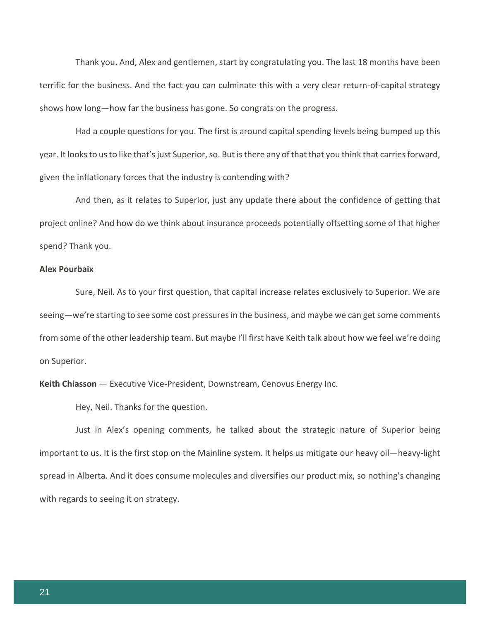Thank you. And, Alex and gentlemen, start by congratulating you. The last 18 months have been terrific for the business. And the fact you can culminate this with a very clear return-of-capital strategy shows how long—how far the business has gone. So congrats on the progress.

Had a couple questions for you. The first is around capital spending levels being bumped up this year. It looks to us to like that's just Superior, so. But is there any of that that you think that carries forward, given the inflationary forces that the industry is contending with?

And then, as it relates to Superior, just any update there about the confidence of getting that project online? And how do we think about insurance proceeds potentially offsetting some of that higher spend? Thank you.

# **Alex Pourbaix**

Sure, Neil. As to your first question, that capital increase relates exclusively to Superior. We are seeing—we're starting to see some cost pressures in the business, and maybe we can get some comments from some of the other leadership team. But maybe I'll first have Keith talk about how we feel we're doing on Superior.

**Keith Chiasson** — Executive Vice-President, Downstream, Cenovus Energy Inc.

Hey, Neil. Thanks for the question.

Just in Alex's opening comments, he talked about the strategic nature of Superior being important to us. It is the first stop on the Mainline system. It helps us mitigate our heavy oil—heavy-light spread in Alberta. And it does consume molecules and diversifies our product mix, so nothing's changing with regards to seeing it on strategy.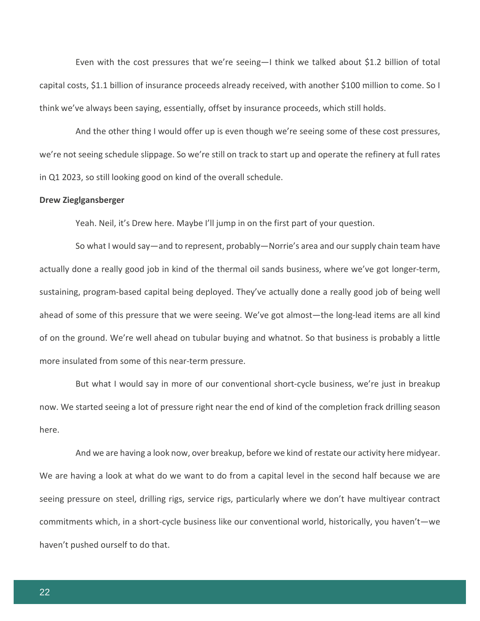Even with the cost pressures that we're seeing—I think we talked about \$1.2 billion of total capital costs, \$1.1 billion of insurance proceeds already received, with another \$100 million to come. So I think we've always been saying, essentially, offset by insurance proceeds, which still holds.

And the other thing I would offer up is even though we're seeing some of these cost pressures, we're not seeing schedule slippage. So we're still on track to start up and operate the refinery at full rates in Q1 2023, so still looking good on kind of the overall schedule.

#### **Drew Zieglgansberger**

Yeah. Neil, it's Drew here. Maybe I'll jump in on the first part of your question.

So what I would say—and to represent, probably—Norrie's area and our supply chain team have actually done a really good job in kind of the thermal oil sands business, where we've got longer-term, sustaining, program-based capital being deployed. They've actually done a really good job of being well ahead of some of this pressure that we were seeing. We've got almost—the long-lead items are all kind of on the ground. We're well ahead on tubular buying and whatnot. So that business is probably a little more insulated from some of this near-term pressure.

But what I would say in more of our conventional short-cycle business, we're just in breakup now. We started seeing a lot of pressure right near the end of kind of the completion frack drilling season here.

And we are having a look now, over breakup, before we kind of restate our activity here midyear. We are having a look at what do we want to do from a capital level in the second half because we are seeing pressure on steel, drilling rigs, service rigs, particularly where we don't have multiyear contract commitments which, in a short-cycle business like our conventional world, historically, you haven't—we haven't pushed ourself to do that.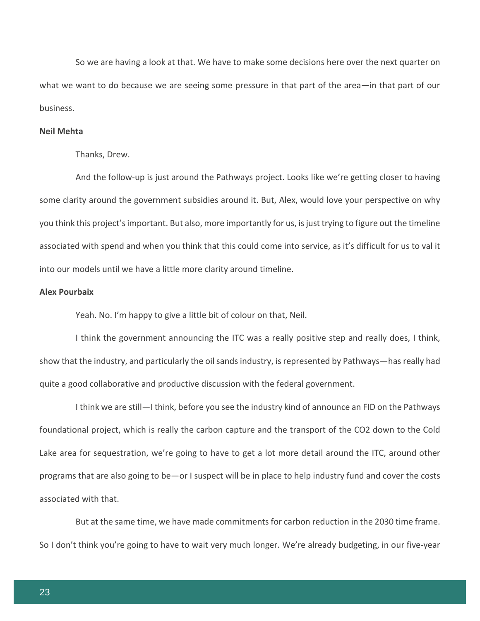So we are having a look at that. We have to make some decisions here over the next quarter on what we want to do because we are seeing some pressure in that part of the area—in that part of our business.

#### **Neil Mehta**

Thanks, Drew.

And the follow-up is just around the Pathways project. Looks like we're getting closer to having some clarity around the government subsidies around it. But, Alex, would love your perspective on why you think this project's important. But also, more importantly for us, is just trying to figure out the timeline associated with spend and when you think that this could come into service, as it's difficult for us to val it into our models until we have a little more clarity around timeline.

#### **Alex Pourbaix**

Yeah. No. I'm happy to give a little bit of colour on that, Neil.

I think the government announcing the ITC was a really positive step and really does, I think, show that the industry, and particularly the oil sands industry, is represented by Pathways—has really had quite a good collaborative and productive discussion with the federal government.

I think we are still—I think, before you see the industry kind of announce an FID on the Pathways foundational project, which is really the carbon capture and the transport of the CO2 down to the Cold Lake area for sequestration, we're going to have to get a lot more detail around the ITC, around other programs that are also going to be—or I suspect will be in place to help industry fund and cover the costs associated with that.

But at the same time, we have made commitments for carbon reduction in the 2030 time frame. So I don't think you're going to have to wait very much longer. We're already budgeting, in our five-year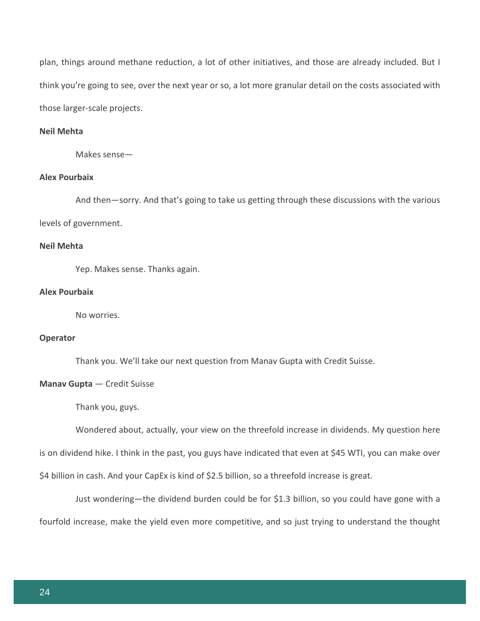plan, things around methane reduction, a lot of other initiatives, and those are already included. But I think you're going to see, over the next year or so, a lot more granular detail on the costs associated with those larger-scale projects.

#### **Neil Mehta**

Makes sense—

# **Alex Pourbaix**

And then—sorry. And that's going to take us getting through these discussions with the various levels of government.

# **Neil Mehta**

Yep. Makes sense. Thanks again.

#### **Alex Pourbaix**

No worries.

#### **Operator**

Thank you. We'll take our next question from Manav Gupta with Credit Suisse.

#### **Manav Gupta** — Credit Suisse

Thank you, guys.

Wondered about, actually, your view on the threefold increase in dividends. My question here

is on dividend hike. I think in the past, you guys have indicated that even at \$45 WTI, you can make over

\$4 billion in cash. And your CapEx is kind of \$2.5 billion, so a threefold increase is great.

Just wondering—the dividend burden could be for \$1.3 billion, so you could have gone with a fourfold increase, make the yield even more competitive, and so just trying to understand the thought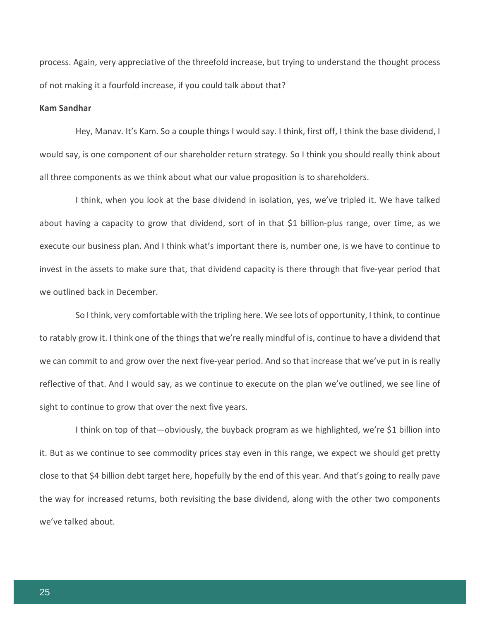process. Again, very appreciative of the threefold increase, but trying to understand the thought process of not making it a fourfold increase, if you could talk about that?

# **Kam Sandhar**

Hey, Manav. It's Kam. So a couple things I would say. I think, first off, I think the base dividend, I would say, is one component of our shareholder return strategy. So I think you should really think about all three components as we think about what our value proposition is to shareholders.

I think, when you look at the base dividend in isolation, yes, we've tripled it. We have talked about having a capacity to grow that dividend, sort of in that \$1 billion-plus range, over time, as we execute our business plan. And I think what's important there is, number one, is we have to continue to invest in the assets to make sure that, that dividend capacity is there through that five-year period that we outlined back in December.

So I think, very comfortable with the tripling here. We see lots of opportunity, I think, to continue to ratably grow it. I think one of the things that we're really mindful of is, continue to have a dividend that we can commit to and grow over the next five-year period. And so that increase that we've put in is really reflective of that. And I would say, as we continue to execute on the plan we've outlined, we see line of sight to continue to grow that over the next five years.

I think on top of that—obviously, the buyback program as we highlighted, we're \$1 billion into it. But as we continue to see commodity prices stay even in this range, we expect we should get pretty close to that \$4 billion debt target here, hopefully by the end of this year. And that's going to really pave the way for increased returns, both revisiting the base dividend, along with the other two components we've talked about.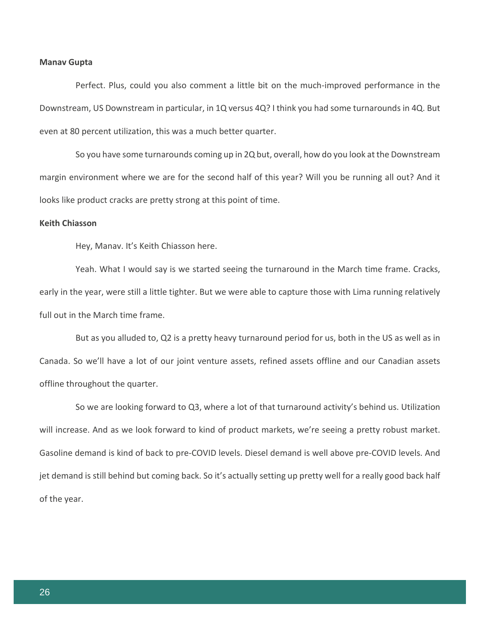#### **Manav Gupta**

Perfect. Plus, could you also comment a little bit on the much-improved performance in the Downstream, US Downstream in particular, in 1Q versus 4Q? I think you had some turnarounds in 4Q. But even at 80 percent utilization, this was a much better quarter.

So you have some turnarounds coming up in 2Q but, overall, how do you look at the Downstream margin environment where we are for the second half of this year? Will you be running all out? And it looks like product cracks are pretty strong at this point of time.

### **Keith Chiasson**

Hey, Manav. It's Keith Chiasson here.

Yeah. What I would say is we started seeing the turnaround in the March time frame. Cracks, early in the year, were still a little tighter. But we were able to capture those with Lima running relatively full out in the March time frame.

But as you alluded to, Q2 is a pretty heavy turnaround period for us, both in the US as well as in Canada. So we'll have a lot of our joint venture assets, refined assets offline and our Canadian assets offline throughout the quarter.

So we are looking forward to Q3, where a lot of that turnaround activity's behind us. Utilization will increase. And as we look forward to kind of product markets, we're seeing a pretty robust market. Gasoline demand is kind of back to pre-COVID levels. Diesel demand is well above pre-COVID levels. And jet demand is still behind but coming back. So it's actually setting up pretty well for a really good back half of the year.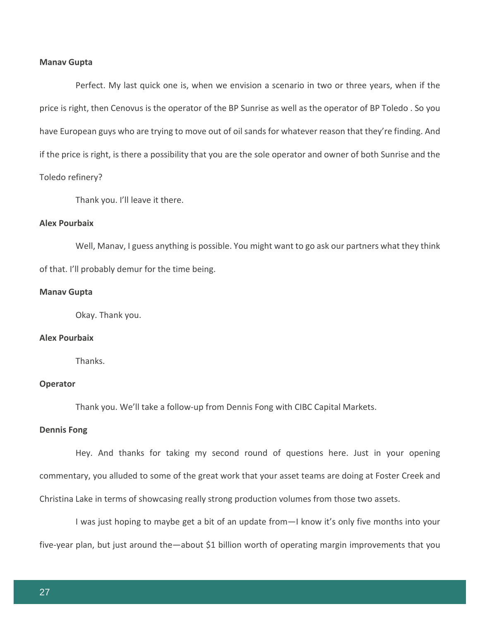#### **Manav Gupta**

Perfect. My last quick one is, when we envision a scenario in two or three years, when if the price is right, then Cenovus is the operator of the BP Sunrise as well as the operator of BP Toledo . So you have European guys who are trying to move out of oil sands for whatever reason that they're finding. And if the price is right, is there a possibility that you are the sole operator and owner of both Sunrise and the Toledo refinery?

Thank you. I'll leave it there.

### **Alex Pourbaix**

Well, Manav, I guess anything is possible. You might want to go ask our partners what they think of that. I'll probably demur for the time being.

#### **Manav Gupta**

Okay. Thank you.

#### **Alex Pourbaix**

**Thanks** 

#### **Operator**

Thank you. We'll take a follow-up from Dennis Fong with CIBC Capital Markets.

#### **Dennis Fong**

Hey. And thanks for taking my second round of questions here. Just in your opening commentary, you alluded to some of the great work that your asset teams are doing at Foster Creek and Christina Lake in terms of showcasing really strong production volumes from those two assets.

I was just hoping to maybe get a bit of an update from—I know it's only five months into your five-year plan, but just around the—about \$1 billion worth of operating margin improvements that you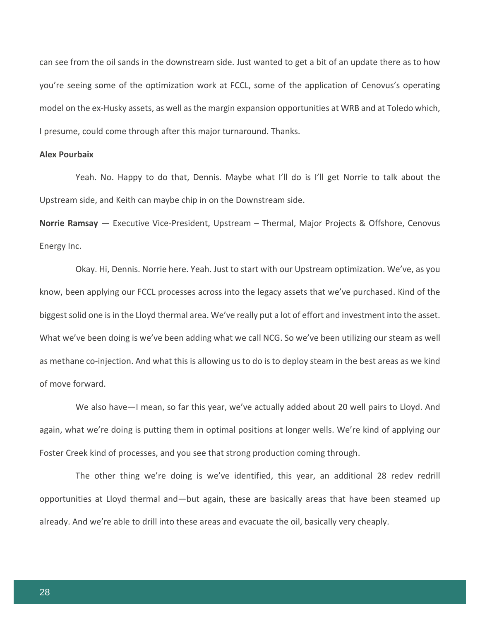can see from the oil sands in the downstream side. Just wanted to get a bit of an update there as to how you're seeing some of the optimization work at FCCL, some of the application of Cenovus's operating model on the ex-Husky assets, as well as the margin expansion opportunities at WRB and at Toledo which, I presume, could come through after this major turnaround. Thanks.

#### **Alex Pourbaix**

Yeah. No. Happy to do that, Dennis. Maybe what I'll do is I'll get Norrie to talk about the Upstream side, and Keith can maybe chip in on the Downstream side.

**Norrie Ramsay** — Executive Vice-President, Upstream – Thermal, Major Projects & Offshore, Cenovus Energy Inc.

Okay. Hi, Dennis. Norrie here. Yeah. Just to start with our Upstream optimization. We've, as you know, been applying our FCCL processes across into the legacy assets that we've purchased. Kind of the biggest solid one is in the Lloyd thermal area. We've really put a lot of effort and investment into the asset. What we've been doing is we've been adding what we call NCG. So we've been utilizing our steam as well as methane co-injection. And what this is allowing us to do is to deploy steam in the best areas as we kind of move forward.

We also have—I mean, so far this year, we've actually added about 20 well pairs to Lloyd. And again, what we're doing is putting them in optimal positions at longer wells. We're kind of applying our Foster Creek kind of processes, and you see that strong production coming through.

The other thing we're doing is we've identified, this year, an additional 28 redev redrill opportunities at Lloyd thermal and—but again, these are basically areas that have been steamed up already. And we're able to drill into these areas and evacuate the oil, basically very cheaply.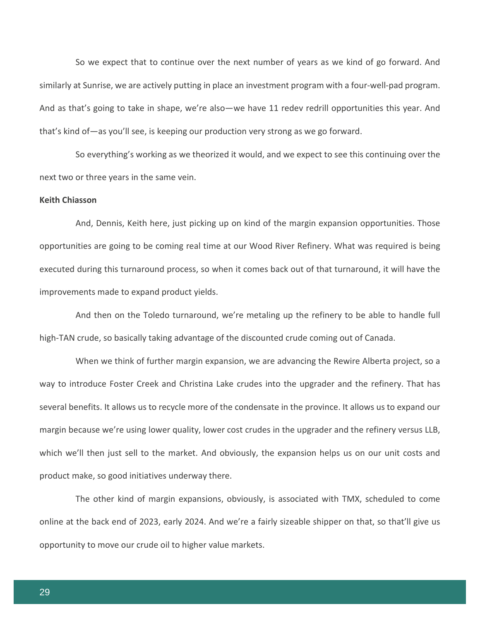So we expect that to continue over the next number of years as we kind of go forward. And similarly at Sunrise, we are actively putting in place an investment program with a four-well-pad program. And as that's going to take in shape, we're also—we have 11 redev redrill opportunities this year. And that's kind of—as you'll see, is keeping our production very strong as we go forward.

So everything's working as we theorized it would, and we expect to see this continuing over the next two or three years in the same vein.

#### **Keith Chiasson**

And, Dennis, Keith here, just picking up on kind of the margin expansion opportunities. Those opportunities are going to be coming real time at our Wood River Refinery. What was required is being executed during this turnaround process, so when it comes back out of that turnaround, it will have the improvements made to expand product yields.

And then on the Toledo turnaround, we're metaling up the refinery to be able to handle full high-TAN crude, so basically taking advantage of the discounted crude coming out of Canada.

When we think of further margin expansion, we are advancing the Rewire Alberta project, so a way to introduce Foster Creek and Christina Lake crudes into the upgrader and the refinery. That has several benefits. It allows us to recycle more of the condensate in the province. It allows us to expand our margin because we're using lower quality, lower cost crudes in the upgrader and the refinery versus LLB, which we'll then just sell to the market. And obviously, the expansion helps us on our unit costs and product make, so good initiatives underway there.

The other kind of margin expansions, obviously, is associated with TMX, scheduled to come online at the back end of 2023, early 2024. And we're a fairly sizeable shipper on that, so that'll give us opportunity to move our crude oil to higher value markets.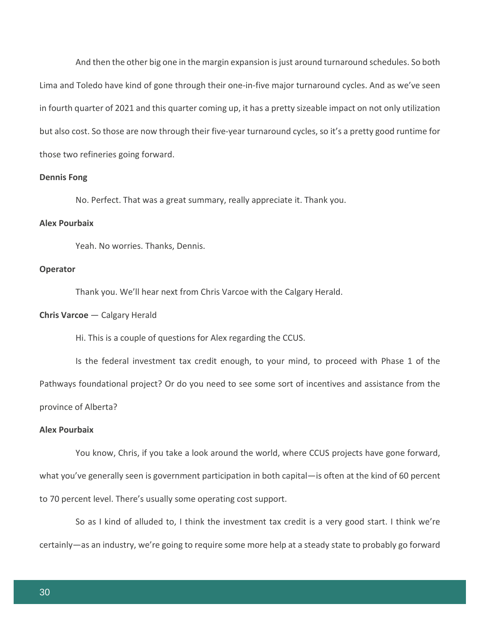And then the other big one in the margin expansion is just around turnaround schedules. So both Lima and Toledo have kind of gone through their one-in-five major turnaround cycles. And as we've seen in fourth quarter of 2021 and this quarter coming up, it has a pretty sizeable impact on not only utilization but also cost. So those are now through their five-year turnaround cycles, so it's a pretty good runtime for those two refineries going forward.

#### **Dennis Fong**

No. Perfect. That was a great summary, really appreciate it. Thank you.

#### **Alex Pourbaix**

Yeah. No worries. Thanks, Dennis.

#### **Operator**

Thank you. We'll hear next from Chris Varcoe with the Calgary Herald.

#### **Chris Varcoe** — Calgary Herald

Hi. This is a couple of questions for Alex regarding the CCUS.

Is the federal investment tax credit enough, to your mind, to proceed with Phase 1 of the Pathways foundational project? Or do you need to see some sort of incentives and assistance from the province of Alberta?

#### **Alex Pourbaix**

You know, Chris, if you take a look around the world, where CCUS projects have gone forward, what you've generally seen is government participation in both capital—is often at the kind of 60 percent to 70 percent level. There's usually some operating cost support.

So as I kind of alluded to, I think the investment tax credit is a very good start. I think we're certainly—as an industry, we're going to require some more help at a steady state to probably go forward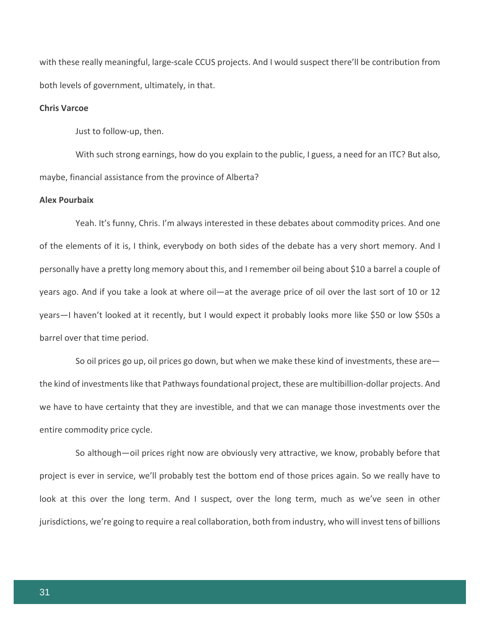with these really meaningful, large-scale CCUS projects. And I would suspect there'll be contribution from both levels of government, ultimately, in that.

#### **Chris Varcoe**

Just to follow-up, then.

With such strong earnings, how do you explain to the public, I guess, a need for an ITC? But also, maybe, financial assistance from the province of Alberta?

#### **Alex Pourbaix**

Yeah. It's funny, Chris. I'm always interested in these debates about commodity prices. And one of the elements of it is, I think, everybody on both sides of the debate has a very short memory. And I personally have a pretty long memory about this, and I remember oil being about \$10 a barrel a couple of years ago. And if you take a look at where oil—at the average price of oil over the last sort of 10 or 12 years—I haven't looked at it recently, but I would expect it probably looks more like \$50 or low \$50s a barrel over that time period.

So oil prices go up, oil prices go down, but when we make these kind of investments, these are the kind of investments like that Pathways foundational project, these are multibillion-dollar projects. And we have to have certainty that they are investible, and that we can manage those investments over the entire commodity price cycle.

So although—oil prices right now are obviously very attractive, we know, probably before that project is ever in service, we'll probably test the bottom end of those prices again. So we really have to look at this over the long term. And I suspect, over the long term, much as we've seen in other jurisdictions, we're going to require a real collaboration, both from industry, who will invest tens of billions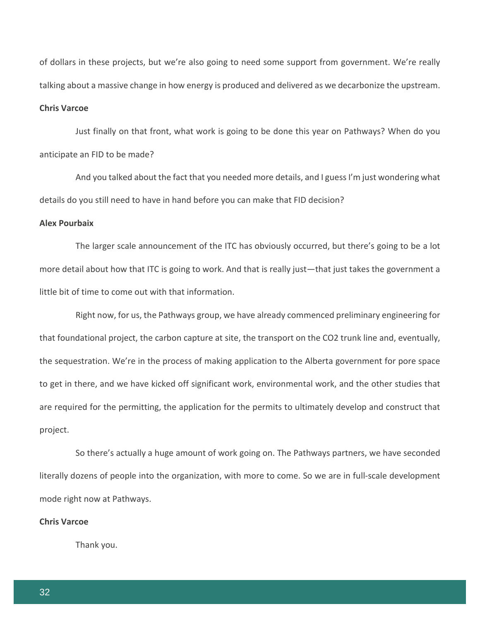of dollars in these projects, but we're also going to need some support from government. We're really talking about a massive change in how energy is produced and delivered as we decarbonize the upstream.

# **Chris Varcoe**

Just finally on that front, what work is going to be done this year on Pathways? When do you anticipate an FID to be made?

And you talked about the fact that you needed more details, and I guess I'm just wondering what details do you still need to have in hand before you can make that FID decision?

#### **Alex Pourbaix**

The larger scale announcement of the ITC has obviously occurred, but there's going to be a lot more detail about how that ITC is going to work. And that is really just—that just takes the government a little bit of time to come out with that information.

Right now, for us, the Pathways group, we have already commenced preliminary engineering for that foundational project, the carbon capture at site, the transport on the CO2 trunk line and, eventually, the sequestration. We're in the process of making application to the Alberta government for pore space to get in there, and we have kicked off significant work, environmental work, and the other studies that are required for the permitting, the application for the permits to ultimately develop and construct that project.

So there's actually a huge amount of work going on. The Pathways partners, we have seconded literally dozens of people into the organization, with more to come. So we are in full-scale development mode right now at Pathways.

#### **Chris Varcoe**

Thank you.